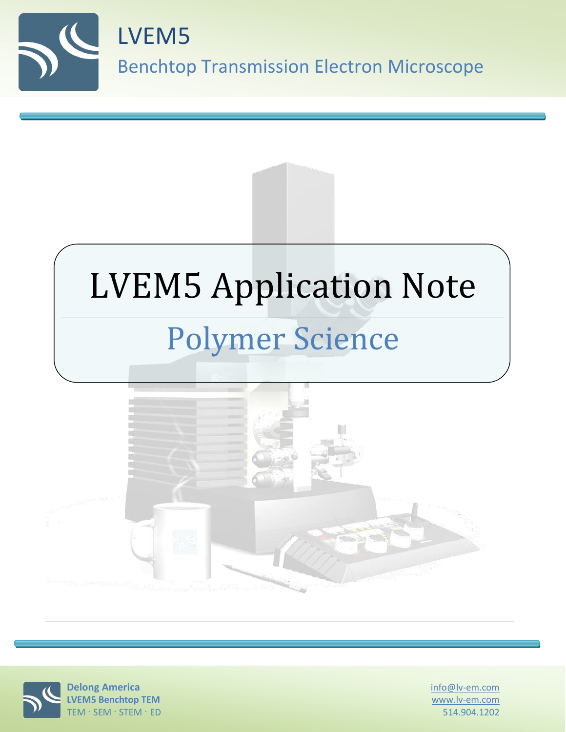





info@lv-em.com www.lv-em.com 514.904.1202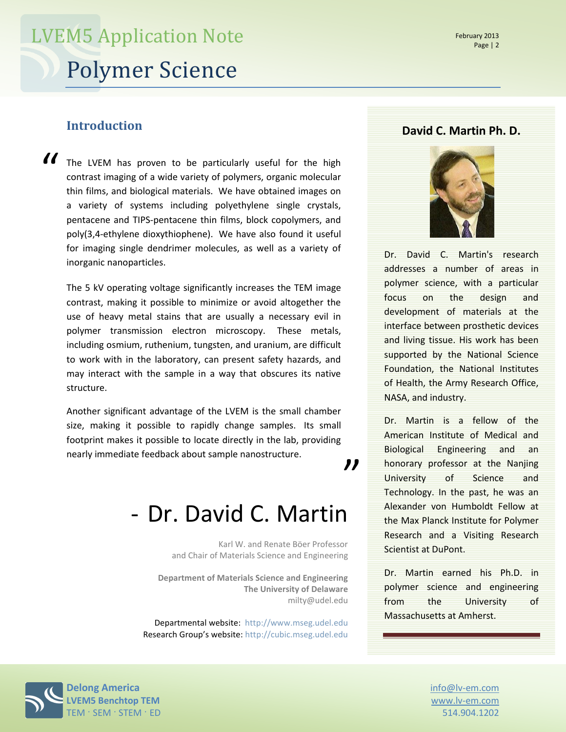### **Introduction**

The LVEM has proven to be particularly useful for the high contrast imaging of a wide variety of polymers, organic molecular thin films, and biological materials. We have obtained images on a variety of systems including polyethylene single crystals, pentacene and TIPS-pentacene thin films, block copolymers, and poly(3,4-ethylene dioxythiophene). We have also found it useful for imaging single dendrimer molecules, as well as a variety of inorganic nanoparticles.  $\mathcal{U}$ 

The 5 kV operating voltage significantly increases the TEM image contrast, making it possible to minimize or avoid altogether the use of heavy metal stains that are usually a necessary evil in polymer transmission electron microscopy. These metals, including osmium, ruthenium, tungsten, and uranium, are difficult to work with in the laboratory, can present safety hazards, and may interact with the sample in a way that obscures its native structure.

Another significant advantage of the LVEM is the small chamber size, making it possible to rapidly change samples. Its small footprint makes it possible to locate directly in the lab, providing nearly immediate feedback about sample nanostructure.

,,

### - Dr. David C. Martin

Karl W. and Renate Böer Professor and Chair of Materials Science and Engineering

**Department of Materials Science and Engineering The University of Delaware** milty@udel.edu

Departmental website: [http://www.mseg.udel.edu](http://www.mseg.udel.edu/) Research Group's website: [http://cubic.mseg.udel.edu](http://cubic.mseg.udel.edu/)

#### **David C. Martin Ph. D.**



Dr. David C. Martin's research addresses a number of areas in polymer science, with a particular focus on the design and development of materials at the interface between prosthetic devices and living tissue. His work has been supported by the National Science Foundation, the National Institutes of Health, the Army Research Office, NASA, and industry.

Dr. Martin is a fellow of the American Institute of Medical and Biological Engineering and an honorary professor at the Nanjing University of Science and Technology. In the past, he was an Alexander von Humboldt Fellow at the Max Planck Institute for Polymer Research and a Visiting Research Scientist at DuPont.

Dr. Martin earned his Ph.D. in polymer science and engineering from the University of Massachusetts at Amherst.

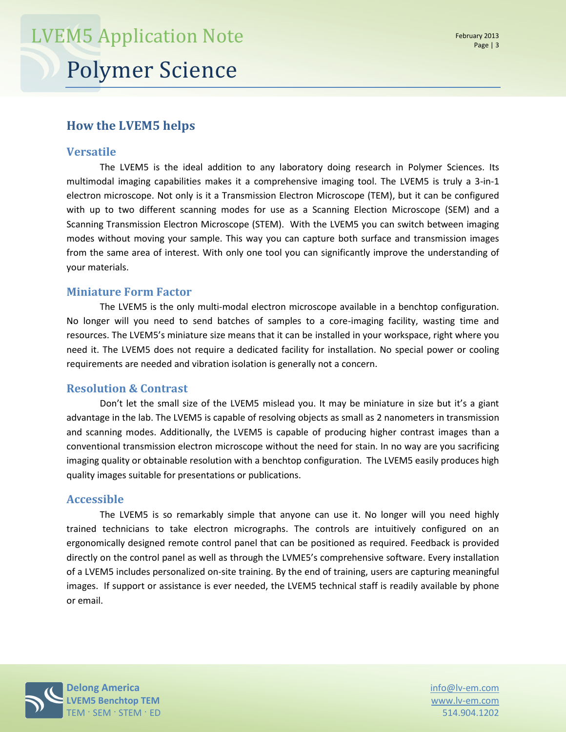### **How the LVEM5 helps**

#### **Versatile**

The LVEM5 is the ideal addition to any laboratory doing research in Polymer Sciences. Its multimodal imaging capabilities makes it a comprehensive imaging tool. The LVEM5 is truly a 3-in-1 electron microscope. Not only is it a Transmission Electron Microscope (TEM), but it can be configured with up to two different scanning modes for use as a Scanning Election Microscope (SEM) and a Scanning Transmission Electron Microscope (STEM). With the LVEM5 you can switch between imaging modes without moving your sample. This way you can capture both surface and transmission images from the same area of interest. With only one tool you can significantly improve the understanding of your materials.

#### **Miniature Form Factor**

The LVEM5 is the only multi-modal electron microscope available in a benchtop configuration. No longer will you need to send batches of samples to a core-imaging facility, wasting time and resources. The LVEM5's miniature size means that it can be installed in your workspace, right where you need it. The LVEM5 does not require a dedicated facility for installation. No special power or cooling requirements are needed and vibration isolation is generally not a concern.

#### **Resolution & Contrast**

Don't let the small size of the LVEM5 mislead you. It may be miniature in size but it's a giant advantage in the lab. The LVEM5 is capable of resolving objects as small as 2 nanometers in transmission and scanning modes. Additionally, the LVEM5 is capable of producing higher contrast images than a conventional transmission electron microscope without the need for stain. In no way are you sacrificing imaging quality or obtainable resolution with a benchtop configuration. The LVEM5 easily produces high quality images suitable for presentations or publications.

#### **Accessible**

The LVEM5 is so remarkably simple that anyone can use it. No longer will you need highly trained technicians to take electron micrographs. The controls are intuitively configured on an ergonomically designed remote control panel that can be positioned as required. Feedback is provided directly on the control panel as well as through the LVME5's comprehensive software. Every installation of a LVEM5 includes personalized on-site training. By the end of training, users are capturing meaningful images. If support or assistance is ever needed, the LVEM5 technical staff is readily available by phone or email.



www.lv-em.com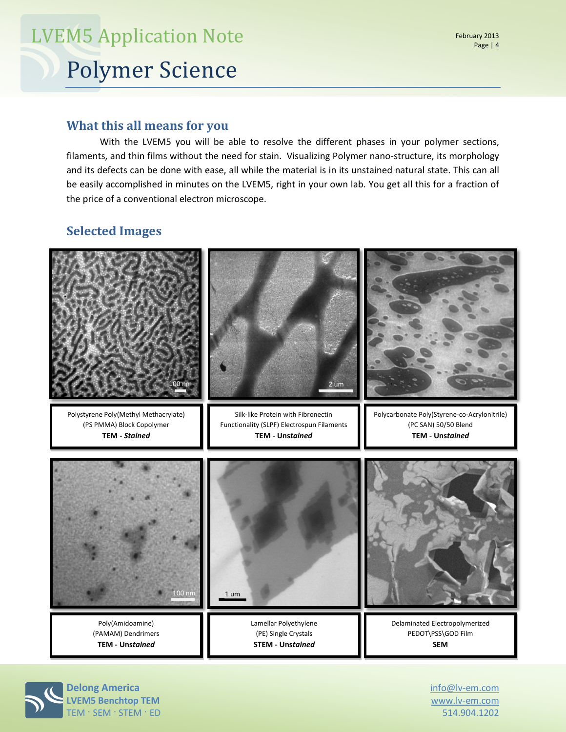With the LVEM5 you will be able to resolve the different phases in your polymer sections, filaments, and thin films without the need for stain. Visualizing Polymer nano-structure, its morphology and its defects can be done with ease, all while the material is in its unstained natural state. This can all be easily accomplished in minutes on the LVEM5, right in your own lab. You get all this for a fraction of the price of a conventional electron microscope.

### **Selected Images**



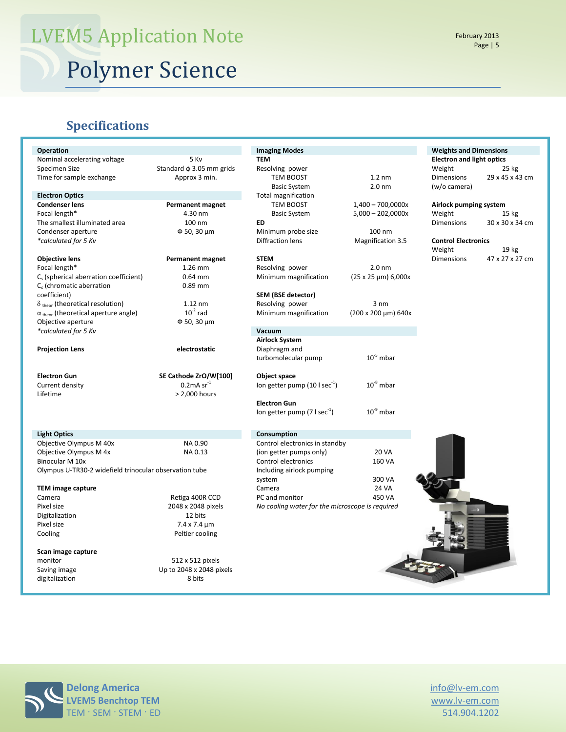### **Specifications**

| Operation                                              |                               | <b>Imaging Modes</b>                            |                               | <b>Weights and Dimensions</b>    |                  |
|--------------------------------------------------------|-------------------------------|-------------------------------------------------|-------------------------------|----------------------------------|------------------|
| Nominal accelerating voltage                           | 5 Kv                          | <b>TEM</b>                                      |                               | <b>Electron and light optics</b> |                  |
| Specimen Size                                          | Standard $\phi$ 3.05 mm grids | Resolving power                                 |                               | Weight                           | 25 kg            |
| Time for sample exchange                               | Approx 3 min.                 | TEM BOOST                                       | $1.2 \text{ nm}$              | <b>Dimensions</b>                | 29 x 45 x 43 cm  |
|                                                        |                               | <b>Basic System</b>                             | 2.0 <sub>nm</sub>             | (w/o camera)                     |                  |
| <b>Electron Optics</b>                                 |                               | <b>Total magnification</b>                      |                               |                                  |                  |
| <b>Condenser lens</b><br><b>Permanent magnet</b>       |                               | TEM BOOST                                       | $1,400 - 700,0000x$           | Airlock pumping system           |                  |
| Focal length*                                          | 4.30 nm                       | <b>Basic System</b>                             | $5,000 - 202,0000x$           | Weight                           | 15 <sub>kg</sub> |
| The smallest illuminated area                          | 100 nm                        | ED                                              |                               | <b>Dimensions</b>                | 30 x 30 x 34 cm  |
| Condenser aperture                                     | Φ 50, 30 μm                   | Minimum probe size                              | 100 nm                        |                                  |                  |
| *calculated for 5 Kv                                   |                               | Diffraction lens                                | <b>Magnification 3.5</b>      | <b>Control Electronics</b>       |                  |
|                                                        |                               |                                                 |                               | Weight                           | 19 kg            |
| <b>Objective lens</b>                                  | <b>Permanent magnet</b>       | <b>STEM</b>                                     |                               | <b>Dimensions</b>                | 47 x 27 x 27 cm  |
| Focal length*                                          | 1.26 mm                       | Resolving power                                 | 2.0 <sub>nm</sub>             |                                  |                  |
| C <sub>s</sub> (spherical aberration coefficient)      | $0.64$ mm                     | Minimum magnification                           | $(25 \times 25 \mu m) 6,000x$ |                                  |                  |
| $C_c$ (chromatic aberration                            | $0.89$ mm                     |                                                 |                               |                                  |                  |
| coefficient)                                           |                               | SEM (BSE detector)                              |                               |                                  |                  |
| $\delta$ <sub>theor</sub> (theoretical resolution)     | $1.12$ nm                     | Resolving power                                 | $3 \text{ nm}$                |                                  |                  |
| $\alpha$ <sub>theor</sub> (theoretical aperture angle) | $10^{-2}$ rad                 | Minimum magnification                           | (200 x 200 µm) 640x           |                                  |                  |
| Objective aperture                                     | $\Phi$ 50, 30 $\mu$ m         |                                                 |                               |                                  |                  |
| *calculated for 5 Kv                                   |                               | Vacuum                                          |                               |                                  |                  |
|                                                        |                               | <b>Airlock System</b>                           |                               |                                  |                  |
| <b>Projection Lens</b>                                 | electrostatic                 | Diaphragm and                                   |                               |                                  |                  |
|                                                        |                               | turbomolecular pump                             | $10^{-5}$ mbar                |                                  |                  |
|                                                        |                               |                                                 |                               |                                  |                  |
| <b>Electron Gun</b>                                    | SE Cathode ZrO/W[100]         | Object space                                    |                               |                                  |                  |
| Current density                                        | $0.2$ mA sr $^{-1}$           | lon getter pump $(10 \mid \text{sec}^{-1})$     | $10^8$ mbar                   |                                  |                  |
| Lifetime                                               | > 2,000 hours                 |                                                 |                               |                                  |                  |
|                                                        |                               | <b>Electron Gun</b>                             |                               |                                  |                  |
|                                                        |                               | lon getter pump (7 l sec <sup>-1</sup> )        | $10^{9}$ mbar                 |                                  |                  |
|                                                        |                               |                                                 |                               |                                  |                  |
|                                                        |                               |                                                 |                               |                                  |                  |
| <b>Light Optics</b>                                    |                               | Consumption                                     |                               |                                  |                  |
| Objective Olympus M 40x                                | NA 0.90                       | Control electronics in standby                  |                               |                                  |                  |
| Objective Olympus M 4x                                 | NA 0.13                       | (ion getter pumps only)                         | <b>20 VA</b>                  |                                  |                  |
| Binocular M 10x                                        |                               | Control electronics                             | 160 VA                        |                                  |                  |
| Olympus U-TR30-2 widefield trinocular observation tube |                               | Including airlock pumping                       |                               |                                  |                  |
|                                                        |                               | system                                          | 300 VA                        |                                  |                  |
| <b>TEM image capture</b>                               |                               | Camera                                          | <b>24 VA</b>                  |                                  |                  |
| Camera                                                 | Retiga 400R CCD               | PC and monitor                                  | 450 VA                        |                                  |                  |
| Pixel size                                             | 2048 x 2048 pixels            | No cooling water for the microscope is required |                               |                                  |                  |
| Digitalization                                         | 12 bits                       |                                                 |                               |                                  |                  |
| Pixel size                                             | $7.4 \times 7.4 \mu m$        |                                                 |                               |                                  |                  |
|                                                        |                               |                                                 |                               |                                  |                  |
| Cooling                                                | Peltier cooling               |                                                 |                               |                                  |                  |
| Scan image capture                                     |                               |                                                 |                               |                                  |                  |
| monitor                                                | 512 x 512 pixels              |                                                 |                               |                                  |                  |
| Saving image                                           | Up to 2048 x 2048 pixels      |                                                 |                               |                                  |                  |
| digitalization                                         | 8 bits                        |                                                 |                               |                                  |                  |